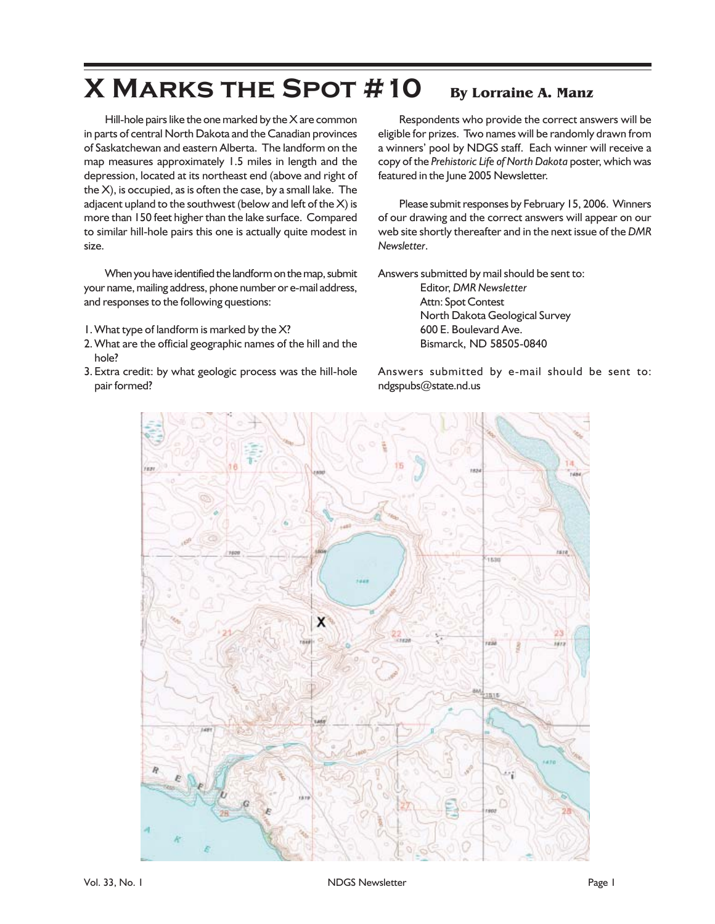## **X Marks the Spot #10 By Lorraine A. Manz**

Hill-hole pairs like the one marked by the X are common in parts of central North Dakota and the Canadian provinces of Saskatchewan and eastern Alberta. The landform on the map measures approximately 1.5 miles in length and the depression, located at its northeast end (above and right of the X), is occupied, as is often the case, by a small lake. The adjacent upland to the southwest (below and left of the X) is more than 150 feet higher than the lake surface. Compared to similar hill-hole pairs this one is actually quite modest in size.

When you have identified the landform on the map, submit your name, mailing address, phone number or e-mail address, and responses to the following questions:

- 1. What type of landform is marked by the X?
- 2. What are the official geographic names of the hill and the hole?
- 3. Extra credit: by what geologic process was the hill-hole pair formed?

Respondents who provide the correct answers will be eligible for prizes. Two names will be randomly drawn from a winners' pool by NDGS staff. Each winner will receive a copy of the *Prehistoric Life of North Dakota* poster, which was featured in the June 2005 Newsletter.

Please submit responses by February 15, 2006. Winners of our drawing and the correct answers will appear on our web site shortly thereafter and in the next issue of the *DMR Newsletter*.

Answers submitted by mail should be sent to:

Editor, *DMR Newsletter* Attn: Spot Contest North Dakota Geological Survey 600 E. Boulevard Ave. Bismarck, ND 58505-0840

Answers submitted by e-mail should be sent to: ndgspubs@state.nd.us

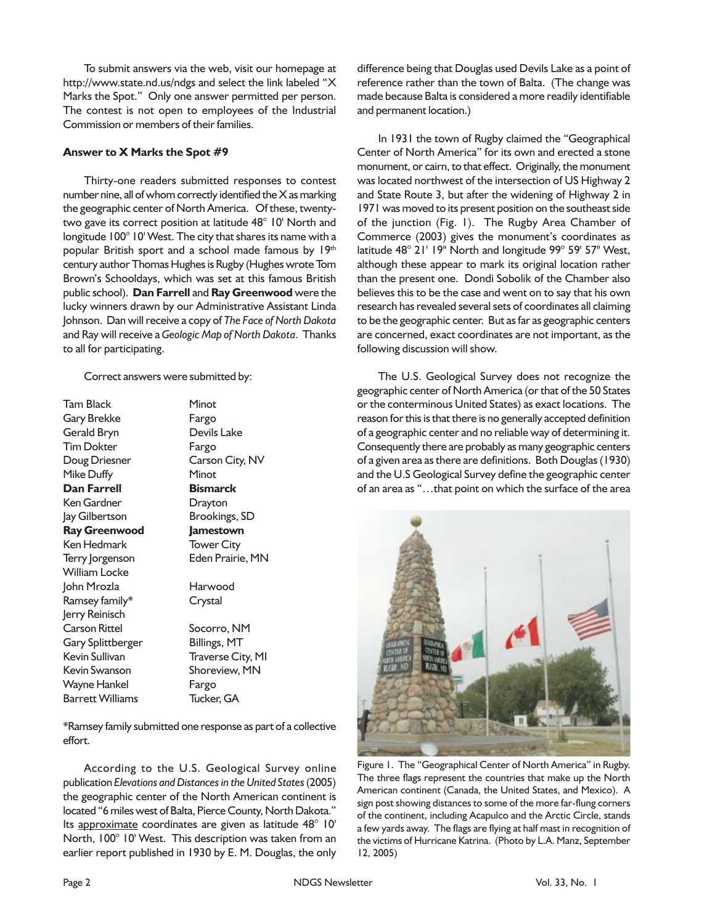To submit answers via the web, visit our homepage at http://www.state.nd.us/ndgs and select the link labeled "X Marks the Spot." Only one answer permitted per person. The contest is not open to employees of the Industrial Commission or members of their families.

## **Answer to X Marks the Spot #9**

Thirty-one readers submitted responses to contest number nine, all of whom correctly identified the  $X$  as marking the geographic center of North America. Of these, twentytwo gave its correct position at latitude 48° 10' North and longitude 100° 10' West. The city that shares its name with a popular British sport and a school made famous by 19th century author Thomas Hughes is Rugby (Hughes wrote Tom Brown's Schooldays, which was set at this famous British public school). **Dan Farrell** and **Ray Greenwood** were the lucky winners drawn by our Administrative Assistant Linda Johnson. Dan will receive a copy of *The Face of North Dakota* and Ray will receive a *Geologic Map of North Dakota*. Thanks to all for participating.

Correct answers were submitted by:

Tam Black Minot Gary Brekke Fargo Gerald Bryn Devils Lake Tim Dokter Fargo Doug Driesner Carson City, NV Mike Duffy **Minot Dan Farrell Bismarck** Ken Gardner Drayton Jay Gilbertson Brookings, SD **Ray Greenwood Jamestown** Ken Hedmark Tower City Terry Jorgenson Eden Prairie, MN William Locke John Mrozla Harwood Ramsey family\* Crystal Jerry Reinisch Carson Rittel Socorro, NM Gary Splittberger Billings, MT Kevin Sullivan Traverse City, MI Kevin Swanson Shoreview, MN Wayne Hankel Fargo Barrett Williams Tucker, GA

\*Ramsey family submitted one response as part of a collective effort.

According to the U.S. Geological Survey online publication *Elevations and Distances in the United States* (2005) the geographic center of the North American continent is located "6 miles west of Balta, Pierce County, North Dakota." Its approximate coordinates are given as latitude 48° 10' North, 100° 10' West. This description was taken from an earlier report published in 1930 by E. M. Douglas, the only difference being that Douglas used Devils Lake as a point of reference rather than the town of Balta. (The change was made because Balta is considered a more readily identifiable and permanent location.)

In 1931 the town of Rugby claimed the "Geographical Center of North America" for its own and erected a stone monument, or cairn, to that effect. Originally, the monument was located northwest of the intersection of US Highway 2 and State Route 3, but after the widening of Highway 2 in 1971 was moved to its present position on the southeast side of the junction (Fig. 1). The Rugby Area Chamber of Commerce (2003) gives the monument's coordinates as latitude 48° 21' 19" North and longitude 99° 59' 57" West, although these appear to mark its original location rather than the present one. Dondi Sobolik of the Chamber also believes this to be the case and went on to say that his own research has revealed several sets of coordinates all claiming to be the geographic center. But as far as geographic centers are concerned, exact coordinates are not important, as the following discussion will show.

The U.S. Geological Survey does not recognize the geographic center of North America (or that of the 50 States or the conterminous United States) as exact locations. The reason for this is that there is no generally accepted definition of a geographic center and no reliable way of determining it. Consequently there are probably as many geographic centers of a given area as there are definitions. Both Douglas (1930) and the U.S Geological Survey define the geographic center of an area as "…that point on which the surface of the area



Figure 1. The "Geographical Center of North America" in Rugby. The three flags represent the countries that make up the North American continent (Canada, the United States, and Mexico). A sign post showing distances to some of the more far-flung corners of the continent, including Acapulco and the Arctic Circle, stands a few yards away. The flags are flying at half mast in recognition of the victims of Hurricane Katrina. (Photo by L.A. Manz, September 12, 2005)